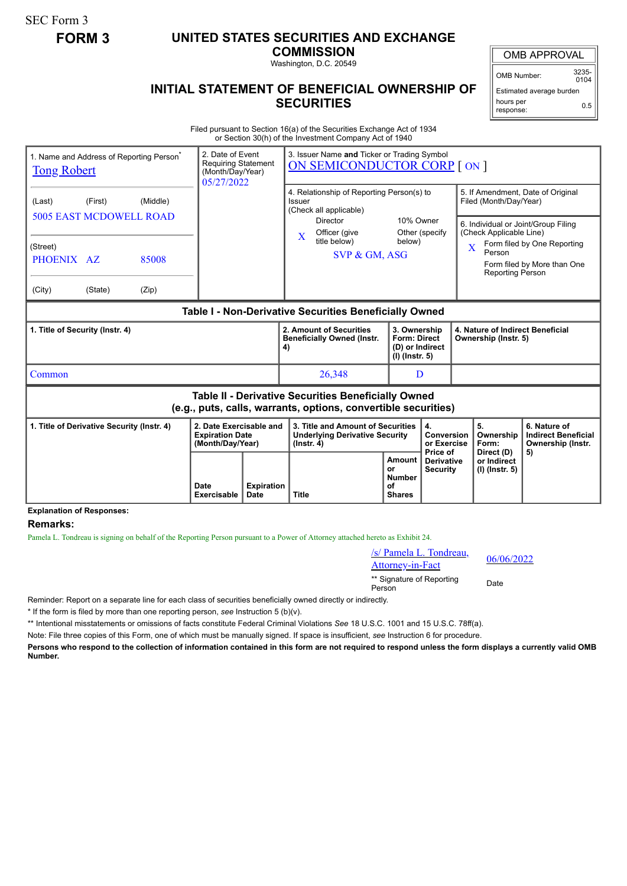SEC Form 3

## **FORM 3 UNITED STATES SECURITIES AND EXCHANGE**

**COMMISSION**

Washington, D.C. 20549

## OMB APPROVAL

OMB Number: 3235-  $0104$ 

## **INITIAL STATEMENT OF BENEFICIAL OWNERSHIP OF SECURITIES**

Estimated average burden hours per response: 0.5

Filed pursuant to Section 16(a) of the Securities Exchange Act of 1934 or Section 30(h) of the Investment Company Act of 1940

| 1. Name and Address of Reporting Person <sup>®</sup><br><b>Tong Robert</b>                                            |         |                   | 2. Date of Event<br><b>Requiring Statement</b><br>(Month/Day/Year)<br>05/27/2022 |                           | 3. Issuer Name and Ticker or Trading Symbol<br>ON SEMICONDUCTOR CORP [ ON ]                                                                             |                                                                                                |                                                    |                                                                                                                                                                                                                                       |                                                                       |  |
|-----------------------------------------------------------------------------------------------------------------------|---------|-------------------|----------------------------------------------------------------------------------|---------------------------|---------------------------------------------------------------------------------------------------------------------------------------------------------|------------------------------------------------------------------------------------------------|----------------------------------------------------|---------------------------------------------------------------------------------------------------------------------------------------------------------------------------------------------------------------------------------------|-----------------------------------------------------------------------|--|
| (Last)<br><b>5005 EAST MCDOWELL ROAD</b><br>(Street)<br>PHOENIX AZ                                                    | (First) | (Middle)<br>85008 |                                                                                  |                           | 4. Relationship of Reporting Person(s) to<br>Issuer<br>(Check all applicable)<br><b>Director</b><br>Officer (give<br>X<br>title below)<br>SVP & GM, ASG | 10% Owner<br>Other (specify<br>below)                                                          |                                                    | 5. If Amendment, Date of Original<br>Filed (Month/Day/Year)<br>6. Individual or Joint/Group Filing<br>(Check Applicable Line)<br>Form filed by One Reporting<br>X<br>Person<br>Form filed by More than One<br><b>Reporting Person</b> |                                                                       |  |
| (City)                                                                                                                | (State) | (Zip)             |                                                                                  |                           |                                                                                                                                                         |                                                                                                |                                                    |                                                                                                                                                                                                                                       |                                                                       |  |
| Table I - Non-Derivative Securities Beneficially Owned                                                                |         |                   |                                                                                  |                           |                                                                                                                                                         |                                                                                                |                                                    |                                                                                                                                                                                                                                       |                                                                       |  |
| 1. Title of Security (Instr. 4)                                                                                       |         |                   |                                                                                  |                           | 2. Amount of Securities<br><b>Beneficially Owned (Instr.</b><br>4)                                                                                      | 3. Ownership<br><b>Form: Direct</b><br>(D) or Indirect<br>(I) (Instr. 5)                       |                                                    | Ownership (Instr. 5)                                                                                                                                                                                                                  | 4. Nature of Indirect Beneficial                                      |  |
| Common                                                                                                                |         |                   |                                                                                  |                           | 26,348                                                                                                                                                  | D                                                                                              |                                                    |                                                                                                                                                                                                                                       |                                                                       |  |
| Table II - Derivative Securities Beneficially Owned<br>(e.g., puts, calls, warrants, options, convertible securities) |         |                   |                                                                                  |                           |                                                                                                                                                         |                                                                                                |                                                    |                                                                                                                                                                                                                                       |                                                                       |  |
| 1. Title of Derivative Security (Instr. 4)                                                                            |         |                   | 2. Date Exercisable and<br><b>Expiration Date</b><br>(Month/Day/Year)            |                           | 3. Title and Amount of Securities<br><b>Underlying Derivative Security</b><br>$($ lnstr. 4 $)$                                                          |                                                                                                | 4.<br><b>Conversion</b><br>or Exercise<br>Price of | 5.<br>Ownership<br>Form:                                                                                                                                                                                                              | 6. Nature of<br><b>Indirect Beneficial</b><br>Ownership (Instr.<br>5) |  |
|                                                                                                                       |         |                   | Date<br>Exercisable                                                              | <b>Expiration</b><br>Date | <b>Title</b>                                                                                                                                            | Amount  <br><b>Derivative</b><br>or<br><b>Security</b><br><b>Number</b><br>οf<br><b>Shares</b> |                                                    | Direct (D)<br>or Indirect<br>(I) (Instr. 5)                                                                                                                                                                                           |                                                                       |  |

**Explanation of Responses:**

## **Remarks:**

Pamela L. Tondreau is signing on behalf of the Reporting Person pursuant to a Power of Attorney attached hereto as Exhibit 24.

| /s/ Pamela L. Tondreau,<br>Attorney-in-Fact | 06/06/2022 |
|---------------------------------------------|------------|
| ** Signature of Reporting<br>Person         | Date       |

Reminder: Report on a separate line for each class of securities beneficially owned directly or indirectly.

\* If the form is filed by more than one reporting person, *see* Instruction 5 (b)(v).

\*\* Intentional misstatements or omissions of facts constitute Federal Criminal Violations *See* 18 U.S.C. 1001 and 15 U.S.C. 78ff(a).

Note: File three copies of this Form, one of which must be manually signed. If space is insufficient, *see* Instruction 6 for procedure.

**Persons who respond to the collection of information contained in this form are not required to respond unless the form displays a currently valid OMB Number.**